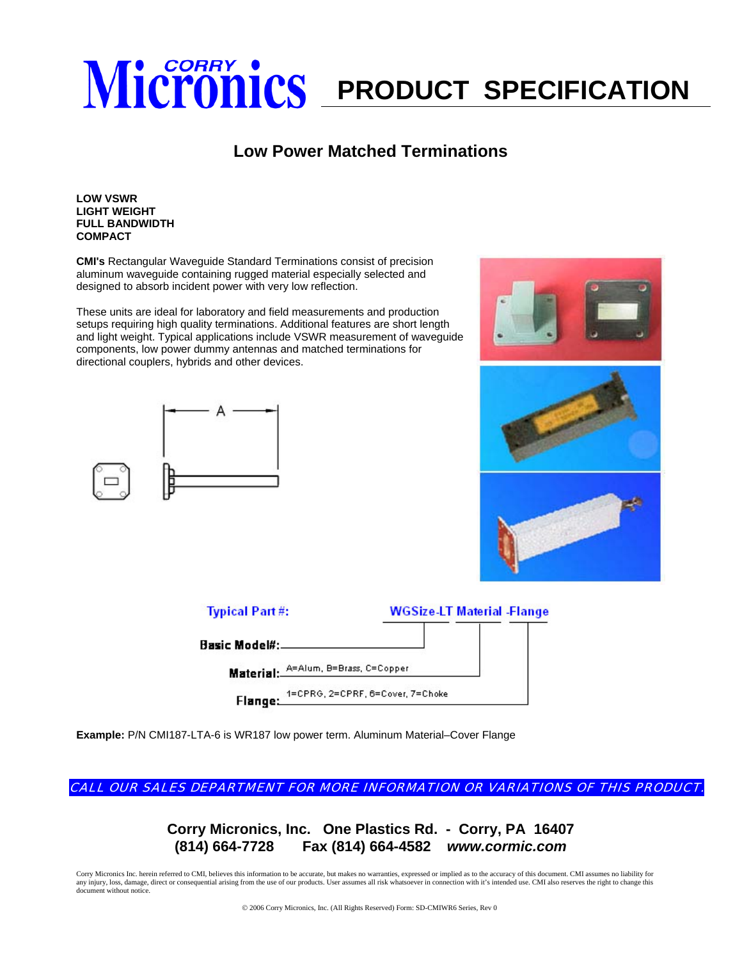## **Micronics** PRODUCT SPECIFICATION

## **Low Power Matched Terminations**

## **LOW VSWR LIGHT WEIGHT FULL BANDWIDTH COMPACT**

**CMI's** Rectangular Waveguide Standard Terminations consist of precision aluminum waveguide containing rugged material especially selected and designed to absorb incident power with very low reflection.

These units are ideal for laboratory and field measurements and production setups requiring high quality terminations. Additional features are short length and light weight. Typical applications include VSWR measurement of waveguide components, low power dummy antennas and matched terminations for directional couplers, hybrids and other devices.







**Example:** P/N CMI187-LTA-6 is WR187 low power term. Aluminum Material–Cover Flange

CALL OUR SALES DEPARTMENT FOR MORE INFORMATION OR VARIATIONS OF THIS PRODUCT.

**Corry Micronics, Inc. One Plastics Rd. - Corry, PA 16407 (814) 664-7728 Fax (814) 664-4582** *www.cormic.com*

Corry Micronics Inc. herein referred to CMI, believes this information to be accurate, but makes no warranties, expressed or implied as to the accuracy of this document. CMI assumes no liability for any injury, loss, damage, direct or consequential arising from the use of our products. User assumes all risk whatsoever in connection with it's intended use. CMI also reserves the right to change this document without notice.